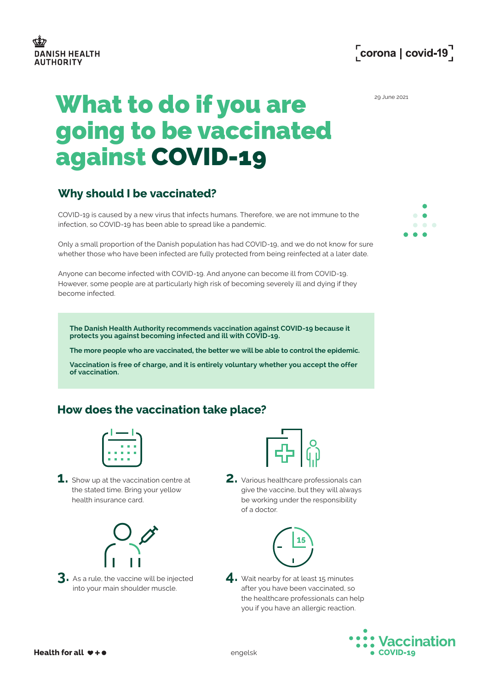

# What to do if you are **Example 2021** going to be vaccinated against COVID-19

# **Why should I be vaccinated?**

COVID-19 is caused by a new virus that infects humans. Therefore, we are not immune to the infection, so COVID-19 has been able to spread like a pandemic.

Only a small proportion of the Danish population has had COVID-19, and we do not know for sure whether those who have been infected are fully protected from being reinfected at a later date.

Anyone can become infected with COVID-19. And anyone can become ill from COVID-19. However, some people are at particularly high risk of becoming severely ill and dying if they become infected.

**The Danish Health Authority recommends vaccination against COVID-19 because it protects you against becoming infected and ill with COVID-19.** 

**The more people who are vaccinated, the better we will be able to control the epidemic.** 

**Vaccination is free of charge, and it is entirely voluntary whether you accept the offer of vaccination.**

#### **How does the vaccination take place?**



**1.** Show up at the vaccination centre at the stated time. Bring your yellow health insurance card.



**3.** As a rule, the vaccine will be injected into your main shoulder muscle.



**2.** Various healthcare professionals can give the vaccine, but they will always be working under the responsibility of a doctor.



4. Wait nearby for at least 15 minutes after you have been vaccinated, so the healthcare professionals can help you if you have an allergic reaction.



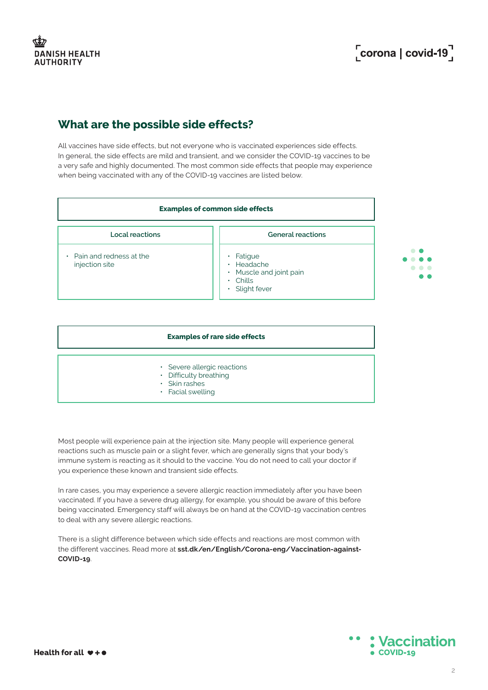# Corona | covid-19<sup>7</sup>

# **What are the possible side effects?**

All vaccines have side effects, but not everyone who is vaccinated experiences side effects. In general, the side effects are mild and transient, and we consider the COVID-19 vaccines to be a very safe and highly documented. The most common side effects that people may experience when being vaccinated with any of the COVID-19 vaccines are listed below.



| <b>Examples of rare side effects</b>                                                                    |
|---------------------------------------------------------------------------------------------------------|
| • Severe allergic reactions<br>• Difficulty breathing<br>$\cdot$ Skin rashes<br>$\cdot$ Facial swelling |

Most people will experience pain at the injection site. Many people will experience general reactions such as muscle pain or a slight fever, which are generally signs that your body's immune system is reacting as it should to the vaccine. You do not need to call your doctor if you experience these known and transient side effects.

In rare cases, you may experience a severe allergic reaction immediately after you have been vaccinated. If you have a severe drug allergy, for example, you should be aware of this before being vaccinated. Emergency staff will always be on hand at the COVID-19 vaccination centres to deal with any severe allergic reactions.

There is a slight difference between which side effects and reactions are most common with the different vaccines. Read more at **[sst.dk/en/English/Corona-eng/Vaccination-against-](http://sst.dk/en/English/Corona-eng/Vaccination-against-COVID-19)[COVID-19](http://sst.dk/en/English/Corona-eng/Vaccination-against-COVID-19)**.

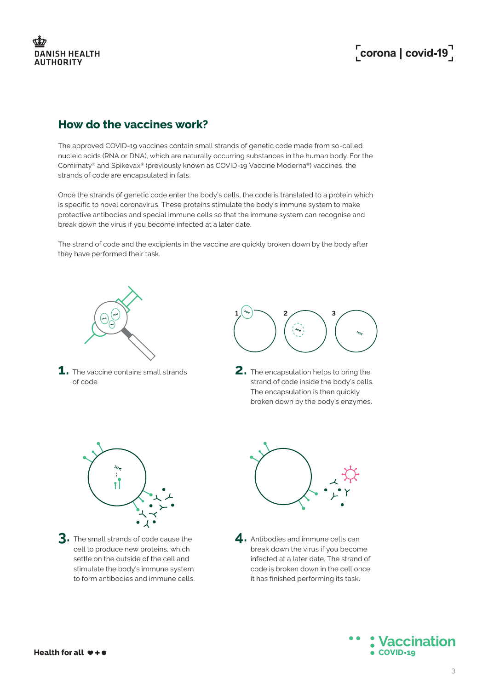

# Corona | covid-19<sup>7</sup>

#### **How do the vaccines work?**

The approved COVID-19 vaccines contain small strands of genetic code made from so-called nucleic acids (RNA or DNA), which are naturally occurring substances in the human body. For the Comirnaty® and Spikevax® (previously known as COVID-19 Vaccine Moderna®) vaccines, the strands of code are encapsulated in fats.

Once the strands of genetic code enter the body's cells, the code is translated to a protein which is specific to novel coronavirus. These proteins stimulate the body's immune system to make protective antibodies and special immune cells so that the immune system can recognise and break down the virus if you become infected at a later date.

The strand of code and the excipients in the vaccine are quickly broken down by the body after they have performed their task.



**1.** The vaccine contains small strands of code



**2.** The encapsulation helps to bring the strand of code inside the body's cells. The encapsulation is then quickly broken down by the body's enzymes.



**3.** The small strands of code cause the cell to produce new proteins, which settle on the outside of the cell and stimulate the body's immune system to form antibodies and immune cells.



4. Antibodies and immune cells can break down the virus if you become infected at a later date. The strand of code is broken down in the cell once it has finished performing its task.